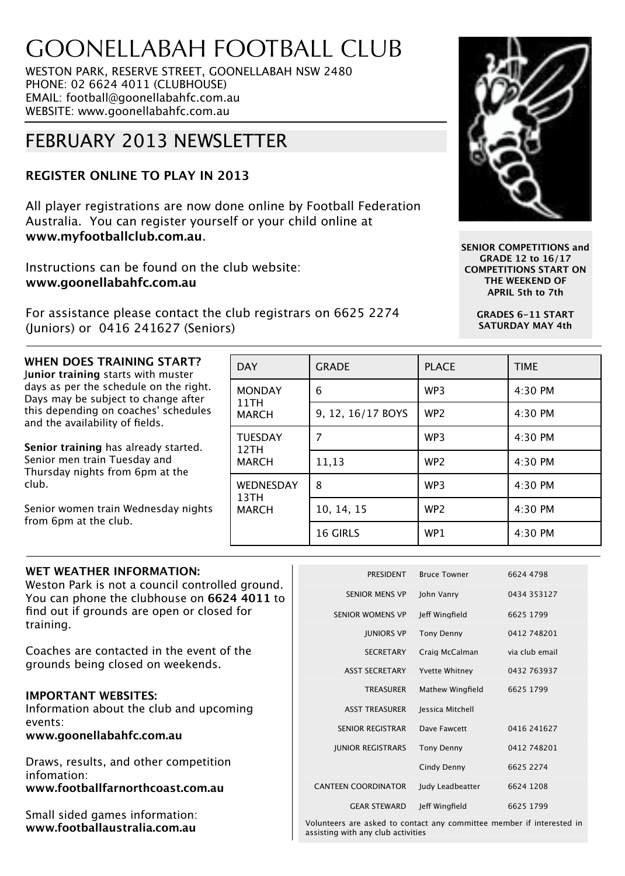# GOONELLABAH FOOTBALL CLUB

WESTON PARK, RESERVE STREET, GOONELLABAH NSW 2480 PHONE: 02 6624 4011 (CLUBHOUSE) EMAIL: football@goonellabahfc.com.au WEBSITE: www.goonellabahfc.com.au

# FEBRUARY 2013 NEWSLETTER

### **REGISTER ONLINE TO PLAY IN 2013**

All player registrations are now done online by Football Federation Australia. You can register yourself or your child online at **www.myfootballclub.com.au**.

Instructions can be found on the club website: **www.goonellabahfc.com.au**

For assistance please contact the club registrars on 6625 2274 (Juniors) or 0416 241627 (Seniors)

## **WHEN DOES TRAINING START?**

J**unior training** starts with muster days as per the schedule on the right. Days may be subject to change after this depending on coaches' schedules and the availability of fields.

**Senior training** has already started. Senior men train Tuesday and Thursday nights from 6pm at the club.

Senior women train Wednesday nights from 6pm at the club.

# **WET WEATHER INFORMATION:**

Weston Park is not a council controlled ground. You can phone the clubhouse on **6624 4011** to find out if grounds are open or closed for training.

Coaches are contacted in the event of the grounds being closed on weekends.

### **IMPORTANT WEBSITES:**

Information about the club and upcoming events:

**www.goonellabahfc.com.au**

Draws, results, and other competition infomation: **www.footballfarnorthcoast.com.au**

Small sided games information: **www.footballaustralia.com.au**

| <b>DAY</b>                               | <b>GRADE</b>      | <b>PLACE</b>    | <b>TIME</b> |
|------------------------------------------|-------------------|-----------------|-------------|
| <b>MONDAY</b><br>11TH<br><b>MARCH</b>    | 6                 | WP3             | 4:30 PM     |
|                                          | 9, 12, 16/17 BOYS | WP <sub>2</sub> | 4:30 PM     |
| <b>TUESDAY</b><br>12TH<br><b>MARCH</b>   | 7                 | WP3             | 4:30 PM     |
|                                          | 11,13             | WP <sub>2</sub> | 4:30 PM     |
| <b>WEDNESDAY</b><br>13TH<br><b>MARCH</b> | 8                 | WP <sub>3</sub> | 4:30 PM     |
|                                          | 10, 14, 15        | WP <sub>2</sub> | 4:30 PM     |
|                                          | <b>16 GIRLS</b>   | WP1             | 4:30 PM     |

| <b>PRESIDENT</b>           | <b>Bruce Towner</b>   | 6624 4798      |
|----------------------------|-----------------------|----------------|
| <b>SENIOR MENS VP</b>      | John Vanry            | 0434 353127    |
| <b>SENIOR WOMENS VP</b>    | Jeff Wingfield        | 6625 1799      |
| <b>JUNIORS VP</b>          | Tony Denny            | 0412 748201    |
| <b>SECRETARY</b>           | Craig McCalman        | via club email |
| <b>ASST SECRETARY</b>      | <b>Yvette Whitney</b> | 0432 763937    |
| <b>TREASURER</b>           | Mathew Wingfield      | 6625 1799      |
| <b>ASST TREASURER</b>      | Jessica Mitchell      |                |
| <b>SENIOR REGISTRAR</b>    | Dave Fawcett          | 0416 241627    |
| <b>JUNIOR REGISTRARS</b>   | <b>Tony Denny</b>     | 0412 748201    |
|                            | Cindy Denny           | 6625 2274      |
| <b>CANTEEN COORDINATOR</b> | Judy Leadbeatter      | 6624 1208      |
| <b>GEAR STEWARD</b>        | Jeff Wingfield        | 6625 1799      |
|                            |                       |                |

Volunteers are asked to contact any committee member if interested in assisting with any club activities



**SENIOR COMPETITIONS and GRADE 12 to 16/17 COMPETITIONS START ON THE WEEKEND OF APRIL 5th to 7th**

> **GRADES 6-11 START SATURDAY MAY 4th**